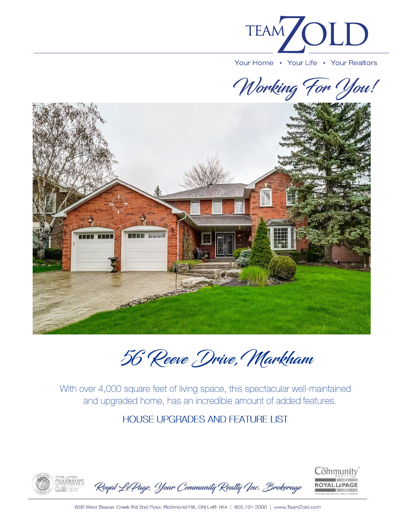

Working For You!



56 Reeve Drive, Markham

With over 4,000 square feet of living space, this spectacular well-maintained and upgraded home, has an incredible amount of added features.

## HOUSE UPGRADES AND FEATURE LIST

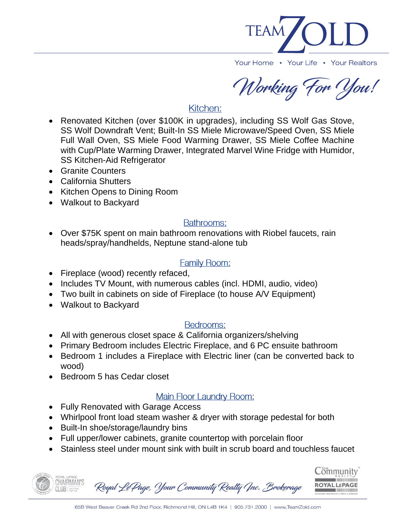

Working For You!

# Kitchen:

- Renovated Kitchen (over \$100K in upgrades), including SS Wolf Gas Stove, SS Wolf Downdraft Vent; Built-In SS Miele Microwave/Speed Oven, SS Miele Full Wall Oven, SS Miele Food Warming Drawer, SS Miele Coffee Machine with Cup/Plate Warming Drawer, Integrated Marvel Wine Fridge with Humidor, SS Kitchen-Aid Refrigerator
- Granite Counters
- California Shutters
- Kitchen Opens to Dining Room
- Walkout to Backyard

## Bathrooms:

• Over \$75K spent on main bathroom renovations with Riobel faucets, rain heads/spray/handhelds, Neptune stand-alone tub

## **Family Room:**

- Fireplace (wood) recently refaced,
- Includes TV Mount, with numerous cables (incl. HDMI, audio, video)
- Two built in cabinets on side of Fireplace (to house A/V Equipment)
- Walkout to Backyard

## Bedrooms:

- All with generous closet space & California organizers/shelving
- Primary Bedroom includes Electric Fireplace, and 6 PC ensuite bathroom
- Bedroom 1 includes a Fireplace with Electric liner (can be converted back to wood)
- Bedroom 5 has Cedar closet

## Main Floor Laundry Room:

- Fully Renovated with Garage Access
- Whirlpool front load steam washer & dryer with storage pedestal for both
- Built-In shoe/storage/laundry bins
- Full upper/lower cabinets, granite countertop with porcelain floor
- Stainless steel under mount sink with built in scrub board and touchless faucet

Community CHAIRMAN'S Royal Le Page, Your Community Realty (Inc. Brokerage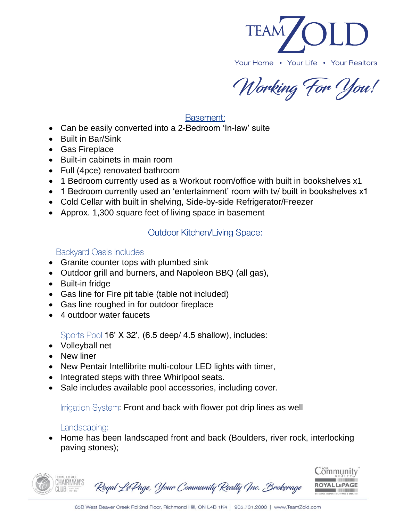

Working For You!

#### Basement:

- Can be easily converted into a 2-Bedroom 'In-law' suite
- Built in Bar/Sink
- Gas Fireplace
- Built-in cabinets in main room
- Full (4pce) renovated bathroom
- 1 Bedroom currently used as a Workout room/office with built in bookshelves x1
- 1 Bedroom currently used an 'entertainment' room with tv/ built in bookshelves x1
- Cold Cellar with built in shelving, Side-by-side Refrigerator/Freezer
- Approx. 1,300 square feet of living space in basement

#### **Outdoor Kitchen/Living Space:**

#### **Backyard Oasis includes**

- Granite counter tops with plumbed sink
- Outdoor grill and burners, and Napoleon BBQ (all gas),
- Built-in fridge
- Gas line for Fire pit table (table not included)
- Gas line roughed in for outdoor fireplace
- 4 outdoor water faucets

Sports Pool 16' X 32', (6.5 deep/ 4.5 shallow), includes:

- Volleyball net
- New liner
- New Pentair Intellibrite multi-colour LED lights with timer,
- Integrated steps with three Whirlpool seats.
- Sale includes available pool accessories, including cover.

Irrigation System: Front and back with flower pot drip lines as well

#### Landscaping:

• Home has been landscaped front and back (Boulders, river rock, interlocking paving stones);

| <b>ROTAL LIDAGE</b><br>ROYAL LEPAGE<br>CHAIRMAN'S<br>CLUB <i>MATIONAL</i> | Royal Le Page, Your Community Realty Ync. Brokerage | $\mathsf{Community}^*$<br>REALTY<br><b>ROYAL LEPAGE</b><br>BROKERAGE INDEPENDENTLY OWNED & OPERATED |
|---------------------------------------------------------------------------|-----------------------------------------------------|-----------------------------------------------------------------------------------------------------|
|---------------------------------------------------------------------------|-----------------------------------------------------|-----------------------------------------------------------------------------------------------------|